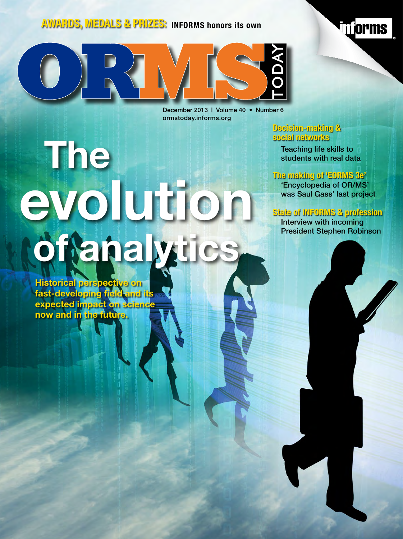#### **AWARDS, MEDALS & PRIZES: INFORMS honors its own**



December 2013 | Volume 40 • Number 6 ormstoday.informs.org

# **The [evolution](#page-1-0)  of analytics**

**Historical perspective on fast-developing field and its expected impact on science now and in the future.**

#### **[Decision-making &](#page-1-0)  social networks**

Teaching life skills to students with real data

#### **The making of 'EORMS 3e'**

'Encyclopedia of OR/MS' was Saul Gass' last project

**The orms** 

#### **State of INFORMS & profession**

Interview with incoming President Stephen Robinson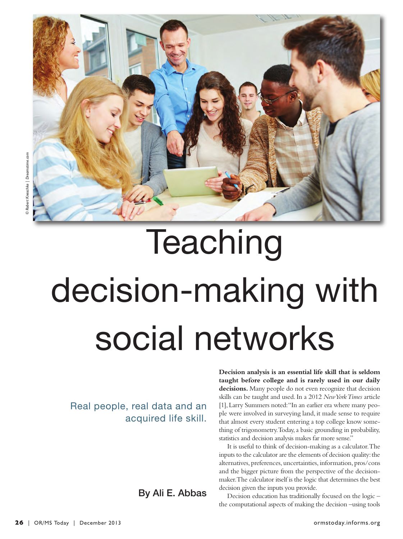<span id="page-1-0"></span>

## **Teaching** decision-making with social networks

Real people, real data and an acquired life skill. **Decision analysis is an essential life skill that is seldom taught before college and is rarely used in our daily decisions.** Many people do not even recognize that decision skills can be taught and used. In a 2012 *New York Times* article [1], Larry Summers noted: "In an earlier era where many people were involved in surveying land, it made sense to require that almost every student entering a top college know something of trigonometry. Today, a basic grounding in probability, statistics and decision analysis makes far more sense."

It is useful to think of decision-making as a calculator. The inputs to the calculator are the elements of decision quality: the alternatives, preferences, uncertainties, information, pros/cons and the bigger picture from the perspective of the decisionmaker. The calculator itself is the logic that determines the best decision given the inputs you provide.

Decision education has traditionally focused on the logic – the computational aspects of making the decision –using tools

By Ali E. Abbas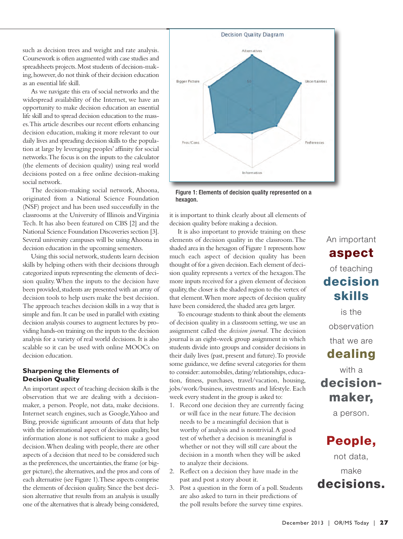such as decision trees and weight and rate analysis. Coursework is often augmented with case studies and spreadsheets projects. Most students of decision-making, however, do not think of their decision education as an essential life skill.

As we navigate this era of social networks and the widespread availability of the Internet, we have an opportunity to make decision education an essential life skill and to spread decision education to the masses. This article describes our recent efforts enhancing decision education, making it more relevant to our daily lives and spreading decision skills to the population at large by leveraging peoples' affinity for social networks. The focus is on the inputs to the calculator (the elements of decision quality) using real world decisions posted on a free online decision-making social network.

The decision-making social network, Ahoona, originated from a National Science Foundation (NSF) project and has been used successfully in the classrooms at the University of Illinois and Virginia Tech. It has also been featured on CBS [2] and the National Science Foundation Discoveries section [3]. Several university campuses will be using Ahoona in decision education in the upcoming semesters.

Using this social network, students learn decision skills by helping others with their decisions through categorized inputs representing the elements of decision quality. When the inputs to the decision have been provided, students are presented with an array of decision tools to help users make the best decision. The approach teaches decision skills in a way that is simple and fun. It can be used in parallel with existing decision analysis courses to augment lectures by providing hands-on training on the inputs to the decision analysis for a variety of real world decisions. It is also scalable so it can be used with online MOOCs on decision education.

#### **Sharpening the Elements of Decision Quality**

An important aspect of teaching decision skills is the observation that we are dealing with a decisionmaker, a person. People, not data, make decisions. Internet search engines, such as Google, Yahoo and Bing, provide significant amounts of data that help with the informational aspect of decision quality, but information alone is not sufficient to make a good decision. When dealing with people, there are other aspects of a decision that need to be considered such as the preferences, the uncertainties, the frame (or bigger picture), the alternatives, and the pros and cons of each alternative (see Figure 1). These aspects comprise the elements of decision quality. Since the best decision alternative that results from an analysis is usually one of the alternatives that is already being considered,



Figure 1: Elements of decision quality represented on a hexagon.

it is important to think clearly about all elements of decision quality before making a decision.

It is also important to provide training on these elements of decision quality in the classroom. The shaded area in the hexagon of Figure 1 represents how much each aspect of decision quality has been thought of for a given decision. Each element of decision quality represents a vertex of the hexagon. The more inputs received for a given element of decision quality, the closer is the shaded region to the vertex of that element. When more aspects of decision quality have been considered, the shaded area gets larger.

To encourage students to think about the elements of decision quality in a classroom setting, we use an assignment called the *decision journal.* The decision journal is an eight-week group assignment in which students divide into groups and consider decisions in their daily lives (past, present and future). To provide some guidance, we define several categories for them to consider: automobiles, dating/relationships, education, fitness, purchases, travel/vacation, housing, jobs/work/business, investments and lifestyle. Each week every student in the group is asked to:

- 1. Record one decision they are currently facing or will face in the near future. The decision needs to be a meaningful decision that is worthy of analysis and is nontrivial. A good test of whether a decision is meaningful is whether or not they will still care about the decision in a month when they will be asked to analyze their decisions.
- 2. Reflect on a decision they have made in the past and post a story about it.
- 3. Post a question in the form of a poll. Students are also asked to turn in their predictions of the poll results before the survey time expires.

### An important **aspect** of teaching **decision skills**

is the

observation

that we are

#### **dealing**

with a **decisionmaker,** 

a person.

### **People,**

not data,

make **decisions.**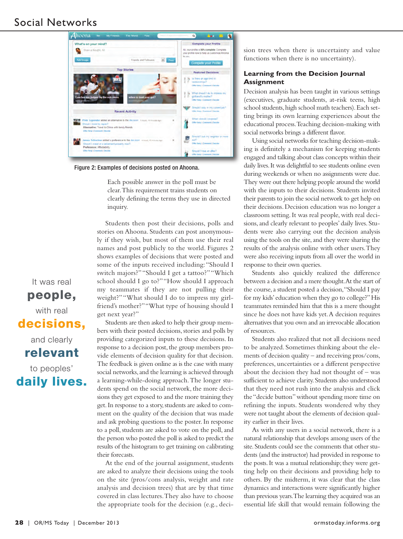#### Social Networks



Figure 2: Examples of decisions posted on Ahoona.

Each possible answer in the poll must be clear. This requirement trains students on clearly defining the terms they use in directed inquiry.

Students then post their decisions, polls and stories on Ahoona. Students can post anonymously if they wish, but most of them use their real names and post publicly to the world. Figures 2 shows examples of decisions that were posted and some of the inputs received including: "Should I switch majors?" "Should I get a tattoo?" "Which school should I go to?" "How should I approach my teammates if they are not pulling their weight?" "What should I do to impress my girlfriend's mother?" "What type of housing should I get next year?"

Students are then asked to help their group members with their posted decisions, stories and polls by providing categorized inputs to these decisions. In response to a decision post, the group members provide elements of decision quality for that decision. The feedback is given online as is the case with many social networks, and the learning is achieved through a learning-while-doing approach. The longer students spend on the social network, the more decisions they get exposed to and the more training they get. In response to a story, students are asked to comment on the quality of the decision that was made and ask probing questions to the poster. In response to a poll, students are asked to vote on the poll, and the person who posted the poll is asked to predict the results of the histogram to get training on calibrating their forecasts.

At the end of the journal assignment, students are asked to analyze their decisions using the tools on the site (pros/cons analysis, weight and rate analysis and decision trees) that are by that time covered in class lectures. They also have to choose the appropriate tools for the decision (e.g., decision trees when there is uncertainty and value functions when there is no uncertainty).

#### **Learning from the Decision Journal Assignment**

Decision analysis has been taught in various settings (executives, graduate students, at-risk teens, high school students, high school math teachers). Each setting brings its own learning experiences about the educational process. Teaching decision-making with social networks brings a different flavor.

Using social networks for teaching decision-making is definitely a mechanism for keeping students engaged and talking about class concepts within their daily lives. It was delightful to see students online even during weekends or when no assignments were due. They were out there helping people around the world with the inputs to their decisions. Students invited their parents to join the social network to get help on their decisions. Decision education was no longer a classroom setting. It was real people, with real decisions, and clearly relevant to peoples' daily lives. Students were also carrying out the decision analysis using the tools on the site, and they were sharing the results of the analysis online with other users. They were also receiving inputs from all over the world in response to their own queries.

Students also quickly realized the difference between a decision and a mere thought. At the start of the course, a student posted a decision, "Should I pay for my kids' education when they go to college?" His teammates reminded him that this is a mere thought since he does not have kids yet. A decision requires alternatives that you own and an irrevocable allocation of resources.

Students also realized that not all decisions need to be analyzed. Sometimes thinking about the elements of decision quality – and receiving pros/cons, preferences, uncertainties or a different perspective about the decision they had not thought of – was sufficient to achieve clarity. Students also understood that they need not rush into the analysis and click the "decide button" without spending more time on refining the inputs. Students wondered why they were not taught about the elements of decision quality earlier in their lives.

As with any users in a social network, there is a natural relationship that develops among users of the site. Students could see the comments that other students (and the instructor) had provided in response to the posts. It was a mutual relationship; they were getting help on their decisions and providing help to others. By the midterm, it was clear that the class dynamics and interactions were significantly higher than previous years. The learning they acquired was an essential life skill that would remain following the

It was real **people,** 

#### with real **decisions,**

and clearly

**relevant** 

to peoples' **daily lives.**